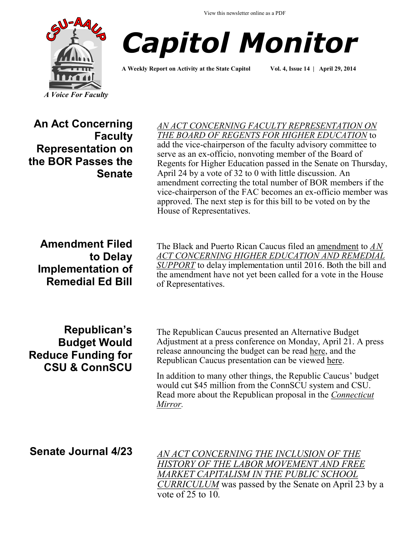



**A Weekly Report on Activity at the State Capitol Vol. 4, Issue 14 | April 29, 2014**

**An Act Concerning Faculty Representation on the BOR Passes the Senate**

*[AN ACT CONCERNING FACULTY REPRESENTATION ON](http://www.cga.ct.gov/asp/cgabillstatus/cgabillstatus.asp?selBillType=Bill&bill_num=402&which_year=2014&SUBMIT1.x=0&SUBMIT1.y=0&SUBMIT1=Normal)  [THE BOARD OF REGENTS FOR HIGHER EDUCATION](http://www.cga.ct.gov/asp/cgabillstatus/cgabillstatus.asp?selBillType=Bill&bill_num=402&which_year=2014&SUBMIT1.x=0&SUBMIT1.y=0&SUBMIT1=Normal)* to add the vice-chairperson of the faculty advisory committee to serve as an ex-officio, nonvoting member of the Board of Regents for Higher Education passed in the Senate on Thursday, April 24 by a vote of 32 to 0 with little discussion. An amendment correcting the total number of BOR members if the vice-chairperson of the FAC becomes an ex-officio member was approved. The next step is for this bill to be voted on by the House of Representatives.

**Amendment Filed to Delay Implementation of Remedial Ed Bill**

**Republican's Budget Would Reduce Funding for CSU & ConnSCU** The Black and Puerto Rican Caucus filed an [amendment](http://www.cga.ct.gov/2014/lcoamd/2014LCO04022-R00-AMD.htm) to *[AN](http://www.cga.ct.gov/asp/cgabillstatus/cgabillstatus.asp?selBillType=Bill&bill_num=5496&which_year=2014&SUBMIT1.x=0&SUBMIT1.y=0&SUBMIT1=Normal)  [ACT CONCERNING HIGHER EDUCATION AND REMEDIAL](http://www.cga.ct.gov/asp/cgabillstatus/cgabillstatus.asp?selBillType=Bill&bill_num=5496&which_year=2014&SUBMIT1.x=0&SUBMIT1.y=0&SUBMIT1=Normal)  [SUPPORT](http://www.cga.ct.gov/asp/cgabillstatus/cgabillstatus.asp?selBillType=Bill&bill_num=5496&which_year=2014&SUBMIT1.x=0&SUBMIT1.y=0&SUBMIT1=Normal)* to delay implementation until 2016. Both the bill and the amendment have not yet been called for a vote in the House of Representatives.

The Republican Caucus presented an Alternative Budget Adjustment at a press conference on Monday, April 21. A press release announcing the budget can be read [here,](http://ctsenaterepublicans.com/2014/04/republican-budget-plan-eliminates-democratic-gimmicks-stays-under-spending-cap-reduces-deficit/#.U1Au1FJOVoI) and the Republican Caucus presentation can be viewed [here.](http://ctsenaterepublicans.com/wp-content/uploads/2014/04/Budget-Presentation-FINAL.pdf)

In addition to many other things, the Republic Caucus' budget would cut \$45 million from the ConnSCU system and CSU. Read more about the Republican proposal in the *[Connecticut](http://ctmirror.org/gop-budget-scraps-malloys-budget-gimmicks-taxes-ct-poor/)  [Mirror.](http://ctmirror.org/gop-budget-scraps-malloys-budget-gimmicks-taxes-ct-poor/)*

**Senate Journal 4/23** *[AN ACT CONCERNING THE INCLUSION OF THE](http://www.cga.ct.gov/asp/cgabillstatus/cgabillstatus.asp?selBillType=Bill&bill_num=220&which_year=2014&SUBMIT1.x=0&SUBMIT1.y=0&SUBMIT1=Normal)  [HISTORY OF THE LABOR MOVEMENT AND FREE](http://www.cga.ct.gov/asp/cgabillstatus/cgabillstatus.asp?selBillType=Bill&bill_num=220&which_year=2014&SUBMIT1.x=0&SUBMIT1.y=0&SUBMIT1=Normal)  [MARKET CAPITALISM IN THE PUBLIC SCHOOL](http://www.cga.ct.gov/asp/cgabillstatus/cgabillstatus.asp?selBillType=Bill&bill_num=220&which_year=2014&SUBMIT1.x=0&SUBMIT1.y=0&SUBMIT1=Normal)  [CURRICULUM](http://www.cga.ct.gov/asp/cgabillstatus/cgabillstatus.asp?selBillType=Bill&bill_num=220&which_year=2014&SUBMIT1.x=0&SUBMIT1.y=0&SUBMIT1=Normal)* was passed by the Senate on April 23 by a vote of 25 to 10*.*